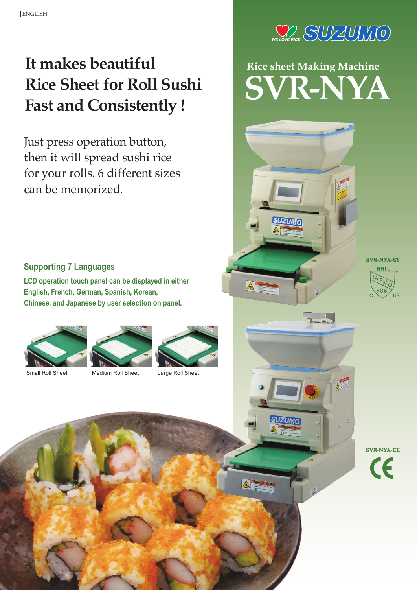## **It makes beautiful Rice Sheet for Roll Sushi Fast and Consistently !**

Just press operation button, then it will spread sushi rice for your rolls. 6 different sizes can be memorized.



# **Rice sheet Making Machine SVR-NYA**

#### **Supporting 7 Languages**

**LCD operation touch panel can be displayed in either English, French, German, Spanish, Korean, Chinese, and Japanese by user selection on panel.**







 $\triangle^-$ 

A

**SVR-NYA-CE**  $\epsilon$ 

**SVR-NYA-ET**

 $=GS$ 

ŪŠ